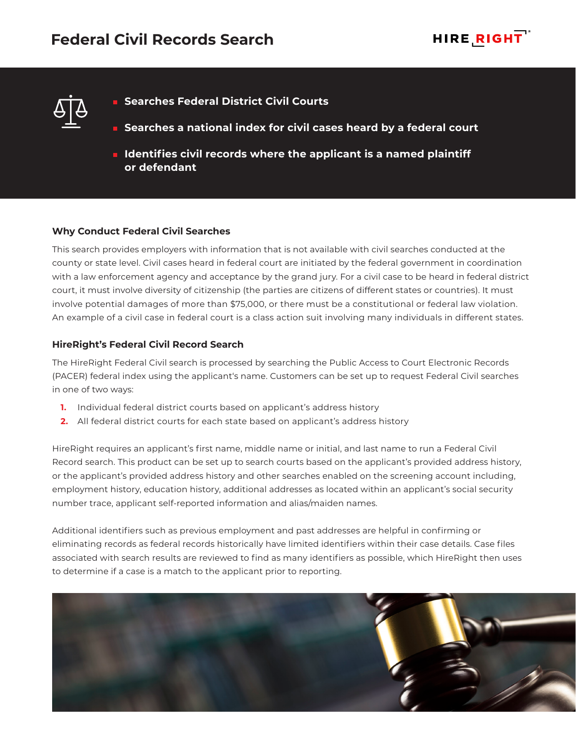



- **Searches Federal District Civil Courts**
- **Searches a national index for civil cases heard by a federal court**
- **IDENTIFIEM IDENTIFIES CIVIL records where the applicant is a named plaintiff or defendant**

# **Why Conduct Federal Civil Searches**

This search provides employers with information that is not available with civil searches conducted at the county or state level. Civil cases heard in federal court are initiated by the federal government in coordination with a law enforcement agency and acceptance by the grand jury. For a civil case to be heard in federal district court, it must involve diversity of citizenship (the parties are citizens of different states or countries). It must involve potential damages of more than \$75,000, or there must be a constitutional or federal law violation. An example of a civil case in federal court is a class action suit involving many individuals in different states.

### **HireRight's Federal Civil Record Search**

The HireRight Federal Civil search is processed by searching the Public Access to Court Electronic Records (PACER) federal index using the applicant's name. Customers can be set up to request Federal Civil searches in one of two ways:

- **1.** Individual federal district courts based on applicant's address history
- **2.** All federal district courts for each state based on applicant's address history

HireRight requires an applicant's first name, middle name or initial, and last name to run a Federal Civil Record search. This product can be set up to search courts based on the applicant's provided address history, or the applicant's provided address history and other searches enabled on the screening account including, employment history, education history, additional addresses as located within an applicant's social security number trace, applicant self-reported information and alias/maiden names.

Additional identifiers such as previous employment and past addresses are helpful in confirming or eliminating records as federal records historically have limited identifiers within their case details. Case files associated with search results are reviewed to find as many identifiers as possible, which HireRight then uses to determine if a case is a match to the applicant prior to reporting.